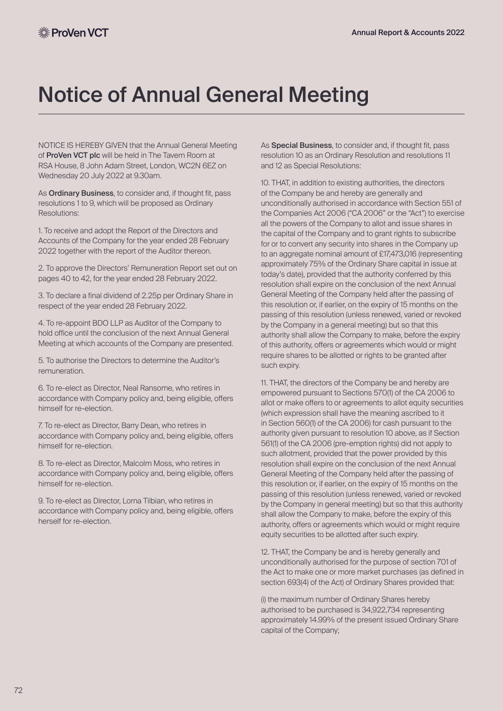## Notice of Annual General Meeting

NOTICE IS HEREBY GIVEN that the Annual General Meeting of ProVen VCT plc will be held in The Tavern Room at RSA House, 8 John Adam Street, London, WC2N 6EZ on Wednesday 20 July 2022 at 9.30am.

As Ordinary Business, to consider and, if thought fit, pass resolutions 1 to 9, which will be proposed as Ordinary Resolutions:

1. To receive and adopt the Report of the Directors and Accounts of the Company for the year ended 28 February 2022 together with the report of the Auditor thereon.

2. To approve the Directors' Remuneration Report set out on pages 40 to 42, for the year ended 28 February 2022.

3. To declare a final dividend of 2.25p per Ordinary Share in respect of the year ended 28 February 2022.

4. To re-appoint BDO LLP as Auditor of the Company to hold office until the conclusion of the next Annual General Meeting at which accounts of the Company are presented.

5. To authorise the Directors to determine the Auditor's remuneration.

6. To re-elect as Director, Neal Ransome, who retires in accordance with Company policy and, being eligible, offers himself for re-election.

7. To re-elect as Director, Barry Dean, who retires in accordance with Company policy and, being eligible, offers himself for re-election.

8. To re-elect as Director, Malcolm Moss, who retires in accordance with Company policy and, being eligible, offers himself for re-election.

9. To re-elect as Director, Lorna Tilbian, who retires in accordance with Company policy and, being eligible, offers herself for re-election.

As **Special Business**, to consider and, if thought fit, pass resolution 10 as an Ordinary Resolution and resolutions 11 and 12 as Special Resolutions:

10. THAT, in addition to existing authorities, the directors of the Company be and hereby are generally and unconditionally authorised in accordance with Section 551 of the Companies Act 2006 ("CA 2006" or the "Act") to exercise all the powers of the Company to allot and issue shares in the capital of the Company and to grant rights to subscribe for or to convert any security into shares in the Company up to an aggregate nominal amount of £17,473,016 (representing approximately 75% of the Ordinary Share capital in issue at today's date), provided that the authority conferred by this resolution shall expire on the conclusion of the next Annual General Meeting of the Company held after the passing of this resolution or, if earlier, on the expiry of 15 months on the passing of this resolution (unless renewed, varied or revoked by the Company in a general meeting) but so that this authority shall allow the Company to make, before the expiry of this authority, offers or agreements which would or might require shares to be allotted or rights to be granted after such expiry.

11. THAT, the directors of the Company be and hereby are empowered pursuant to Sections 570(1) of the CA 2006 to allot or make offers to or agreements to allot equity securities (which expression shall have the meaning ascribed to it in Section 560(1) of the CA 2006) for cash pursuant to the authority given pursuant to resolution 10 above, as if Section 561(1) of the CA 2006 (pre-emption rights) did not apply to such allotment, provided that the power provided by this resolution shall expire on the conclusion of the next Annual General Meeting of the Company held after the passing of this resolution or, if earlier, on the expiry of 15 months on the passing of this resolution (unless renewed, varied or revoked by the Company in general meeting) but so that this authority shall allow the Company to make, before the expiry of this authority, offers or agreements which would or might require equity securities to be allotted after such expiry.

12. THAT, the Company be and is hereby generally and unconditionally authorised for the purpose of section 701 of the Act to make one or more market purchases (as defined in section 693(4) of the Act) of Ordinary Shares provided that:

(i) the maximum number of Ordinary Shares hereby authorised to be purchased is 34,922,734 representing approximately 14.99% of the present issued Ordinary Share capital of the Company;